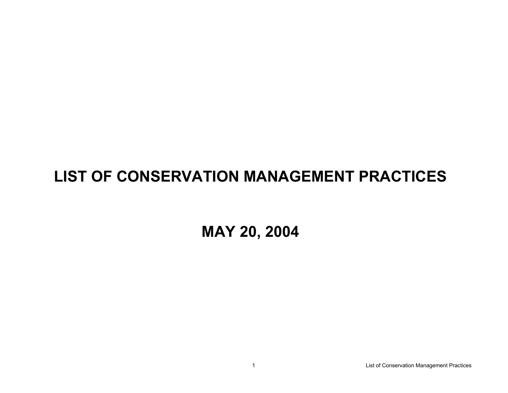## **LIST OF CONSERVATION MANAGEMENT PRACTICES**

**MAY 20, 2004**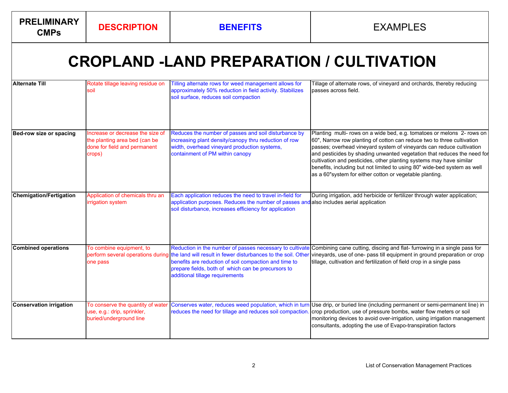**PRELIMINARY** 

## **CROPLAND -LAND PREPARATION / CULTIVATION**

| <b>Alternate Till</b>          | Rotate tillage leaving residue on<br>soil                                                                   | Tilling alternate rows for weed management allows for<br>approximately 50% reduction in field activity. Stabilizes<br>soil surface, reduces soil compaction                                                                                                                                                   | Tillage of alternate rows, of vineyard and orchards, thereby reducing<br>passes across field.                                                                                                                                                                                                                                                                                                                                                                                                                     |
|--------------------------------|-------------------------------------------------------------------------------------------------------------|---------------------------------------------------------------------------------------------------------------------------------------------------------------------------------------------------------------------------------------------------------------------------------------------------------------|-------------------------------------------------------------------------------------------------------------------------------------------------------------------------------------------------------------------------------------------------------------------------------------------------------------------------------------------------------------------------------------------------------------------------------------------------------------------------------------------------------------------|
| Bed-row size or spacing        | Increase or decrease the size of<br>the planting area bed (can be<br>done for field and permanent<br>crops) | Reduces the number of passes and soil disturbance by<br>increasing plant density/canopy thru reduction of row<br>width, overhead vineyard production systems,<br>containment of PM within canopy                                                                                                              | Planting multi- rows on a wide bed, e.g. tomatoes or melons 2- rows on<br>60", Narrow row planting of cotton can reduce two to three cultivation<br>passes; overhead vineyard system of vineyards can reduce cultivation<br>and pesticides by shading unwanted vegetation that reduces the need for<br>cultivation and pesticides, other planting systems may have similar<br>benefits, including but not limited to using 80" wide-bed system as well<br>as a 60"system for either cotton or vegetable planting. |
| <b>Chemigation/Fertigation</b> | Application of chemicals thru an<br>irrigation system                                                       | Each application reduces the need to travel in-field for<br>application purposes. Reduces the number of passes are<br>soil disturbance, increases efficiency for application                                                                                                                                  | During irrigation, add herbicide or fertilizer through water application;<br>also includes aerial application                                                                                                                                                                                                                                                                                                                                                                                                     |
| <b>Combined operations</b>     | To combine equipment, to<br>one pass                                                                        | Reduction in the number of passes necessary to cultivate<br>perform several operations during the land will result in fewer disturbances to the soil. Other<br>benefits are reduction of soil compaction and time to<br>prepare fields, both of which can be precursors to<br>additional tillage requirements | Combining cane cutting, discing and flat- furrowing in a single pass for<br>vineyards, use of one- pass till equipment in ground preparation or crop<br>tillage, cultivation and fertilization of field crop in a single pass                                                                                                                                                                                                                                                                                     |
| <b>Conservation irrigation</b> | To conserve the quantity of water<br>use, e.g.: drip, sprinkler,<br>buried/underground line                 | Conserves water, reduces weed population, which in turn<br>reduces the need for tillage and reduces soil compaction                                                                                                                                                                                           | Use drip, or buried line (including permanent or semi-permanent line) in<br>crop production, use of pressure bombs, water flow meters or soil<br>monitoring devices to avoid over-irrigation, using irrigation management<br>consultants, adopting the use of Evapo-transpiration factors                                                                                                                                                                                                                         |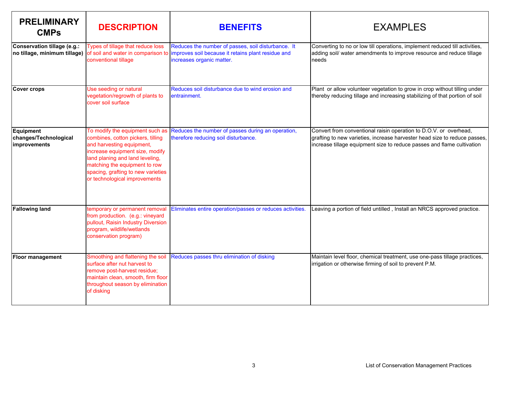| <b>PRELIMINARY</b><br><b>CMPs</b>                           | <b>DESCRIPTION</b>                                                                                                                                                                                                                                                              | <b>BENEFITS</b>                                                                                                                       | <b>EXAMPLES</b>                                                                                                                                                                                                          |
|-------------------------------------------------------------|---------------------------------------------------------------------------------------------------------------------------------------------------------------------------------------------------------------------------------------------------------------------------------|---------------------------------------------------------------------------------------------------------------------------------------|--------------------------------------------------------------------------------------------------------------------------------------------------------------------------------------------------------------------------|
| Conservation tillage (e.g.:<br>no tillage, minimum tillage) | Types of tillage that reduce loss<br>of soil and water in comparison to<br>conventional tillage                                                                                                                                                                                 | Reduces the number of passes, soil disturbance. It<br>improves soil because it retains plant residue and<br>increases organic matter. | Converting to no or low till operations, implement reduced till activities,<br>adding soil/ water amendments to improve resource and reduce tillage<br>needs                                                             |
| Cover crops                                                 | Use seeding or natural<br>vegetation/regrowth of plants to<br>cover soil surface                                                                                                                                                                                                | Reduces soil disturbance due to wind erosion and<br>entrainment.                                                                      | Plant or allow volunteer vegetation to grow in crop without tilling under<br>thereby reducing tillage and increasing stabilizing of that portion of soil                                                                 |
| Equipment<br>changes/Technological<br>improvements          | To modify the equipment such as<br>combines, cotton pickers, tilling<br>and harvesting equipment,<br>increase equipment size, modify<br>land planing and land leveling,<br>matching the equipment to row<br>spacing, grafting to new varieties<br>or technological improvements | Reduces the number of passes during an operation,<br>therefore reducing soil disturbance.                                             | Convert from conventional raisin operation to D.O.V. or overhead,<br>grafting to new varieties, increase harvester head size to reduce passes,<br>increase tillage equipment size to reduce passes and flame cultivation |
| <b>Fallowing land</b>                                       | temporary or permanent removal<br>from production. (e.g.: vineyard<br>pullout, Raisin Industry Diversion<br>program, wildlife/wetlands<br>conservation program)                                                                                                                 | Eliminates entire operation/passes or reduces activities.                                                                             | Leaving a portion of field untilled, Install an NRCS approved practice.                                                                                                                                                  |
| <b>Floor management</b>                                     | Smoothing and flattening the soil<br>surface after nut harvest to<br>remove post-harvest residue;<br>maintain clean, smooth, firm floor<br>throughout season by elimination<br>of disking                                                                                       | Reduces passes thru elimination of disking                                                                                            | Maintain level floor, chemical treatment, use one-pass tillage practices,<br>irrigation or otherwise firming of soil to prevent P.M.                                                                                     |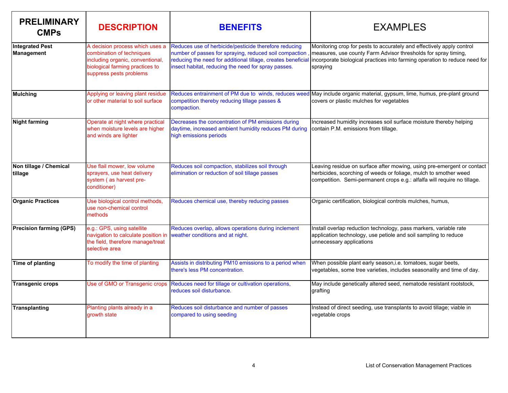| <b>PRELIMINARY</b><br><b>CMPs</b>           | <b>DESCRIPTION</b>                                                                                                                                             | <b>BENEFITS</b>                                                                                                                                                                                                                        | <b>EXAMPLES</b>                                                                                                                                                                                                                   |
|---------------------------------------------|----------------------------------------------------------------------------------------------------------------------------------------------------------------|----------------------------------------------------------------------------------------------------------------------------------------------------------------------------------------------------------------------------------------|-----------------------------------------------------------------------------------------------------------------------------------------------------------------------------------------------------------------------------------|
| <b>Integrated Pest</b><br><b>Management</b> | A decision process which uses a<br>combination of techniques<br>including organic, conventional,<br>biological farming practices to<br>suppress pests problems | Reduces use of herbicide/pesticide therefore reducing<br>number of passes for spraying, reduced soil compaction<br>reducing the need for additional tillage, creates beneficial<br>insect habitat, reducing the need for spray passes. | Monitoring crop for pests to accurately and effectively apply control<br>measures, use county Farm Advisor thresholds for spray timing,<br>incorporate biological practices into farming operation to reduce need for<br>spraying |
| <b>Mulching</b>                             | Applying or leaving plant residue<br>or other material to soil surface                                                                                         | competition thereby reducing tillage passes &<br>compaction.                                                                                                                                                                           | Reduces entrainment of PM due to winds, reduces weed May include organic material, gypsum, lime, humus, pre-plant ground<br>covers or plastic mulches for vegetables                                                              |
| <b>Night farming</b>                        | Operate at night where practical<br>when moisture levels are higher<br>and winds are lighter                                                                   | Decreases the concentration of PM emissions during<br>daytime, increased ambient humidity reduces PM during<br>high emissions periods                                                                                                  | Increased humidity increases soil surface moisture thereby helping<br>contain P.M. emissions from tillage.                                                                                                                        |
| Non tillage / Chemical<br>tillage           | Use flail mower, low volume<br>sprayers, use heat delivery<br>system (as harvest pre-<br>conditioner)                                                          | Reduces soil compaction, stabilizes soil through<br>elimination or reduction of soil tillage passes                                                                                                                                    | Leaving residue on surface after mowing, using pre-emergent or contact<br>herbicides, scorching of weeds or foliage, mulch to smother weed<br>competition. Semi-permanent crops e.g.: alfalfa will require no tillage.            |
| <b>Organic Practices</b>                    | Use biological control methods,<br>use non-chemical control<br>methods                                                                                         | Reduces chemical use, thereby reducing passes                                                                                                                                                                                          | Organic certification, biological controls mulches, humus,                                                                                                                                                                        |
| <b>Precision farming (GPS)</b>              | e.g.: GPS, using satellite<br>navigation to calculate position in<br>the field, therefore manage/treat<br>selective area                                       | Reduces overlap, allows operations during inclement<br>weather conditions and at night.                                                                                                                                                | Install overlap reduction technology, pass markers, variable rate<br>application technology, use petiole and soil sampling to reduce<br>unnecessary applications                                                                  |
| <b>Time of planting</b>                     | To modify the time of planting                                                                                                                                 | Assists in distributing PM10 emissions to a period when<br>there's less PM concentration.                                                                                                                                              | When possible plant early season, i.e. tomatoes, sugar beets,<br>vegetables, some tree varieties, includes seasonality and time of day.                                                                                           |
| <b>Transgenic crops</b>                     | Use of GMO or Transgenic crops                                                                                                                                 | Reduces need for tillage or cultivation operations,<br>reduces soil disturbance.                                                                                                                                                       | May include genetically altered seed, nematode resistant rootstock,<br>grafting                                                                                                                                                   |
| <b>Transplanting</b>                        | Planting plants already in a<br>growth state                                                                                                                   | Reduces soil disturbance and number of passes<br>compared to using seeding                                                                                                                                                             | Instead of direct seeding, use transplants to avoid tillage; viable in<br>vegetable crops                                                                                                                                         |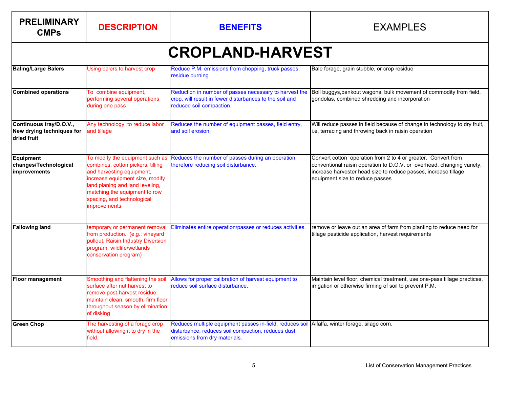| <b>PRELIMINARY</b><br><b>CMPs</b>                                   | <b>DESCRIPTION</b>                                                                                                                                                                                                                                     | <b>BENEFITS</b>                                                                                                                                | <b>EXAMPLES</b>                                                                                                                                                                                                                               |
|---------------------------------------------------------------------|--------------------------------------------------------------------------------------------------------------------------------------------------------------------------------------------------------------------------------------------------------|------------------------------------------------------------------------------------------------------------------------------------------------|-----------------------------------------------------------------------------------------------------------------------------------------------------------------------------------------------------------------------------------------------|
|                                                                     |                                                                                                                                                                                                                                                        | <b>CROPLAND-HARVEST</b>                                                                                                                        |                                                                                                                                                                                                                                               |
| <b>Baling/Large Balers</b>                                          | Using balers to harvest crop                                                                                                                                                                                                                           | Reduce P.M. emissions from chopping, truck passes,<br>residue burning                                                                          | Bale forage, grain stubble, or crop residue                                                                                                                                                                                                   |
| <b>Combined operations</b>                                          | To combine equipment,<br>performing several operations<br>during one pass                                                                                                                                                                              | Reduction in number of passes necessary to harvest the<br>crop, will result in fewer disturbances to the soil and<br>reduced soil compaction.  | Boll buggys, bankout wagons, bulk movement of commodity from field,<br>gondolas, combined shredding and incorporation                                                                                                                         |
| Continuous tray/D.O.V.,<br>New drying techniques for<br>dried fruit | Any technology to reduce labor<br>and tillage                                                                                                                                                                                                          | Reduces the number of equipment passes, field entry,<br>and soil erosion                                                                       | Will reduce passes in field because of change in technology to dry fruit,<br>i.e. terracing and throwing back in raisin operation                                                                                                             |
| <b>Equipment</b><br>changes/Technological<br>improvements           | To modify the equipment such as<br>combines, cotton pickers, tilling<br>and harvesting equipment,<br>increase equipment size, modify<br>land planing and land leveling,<br>matching the equipment to row<br>spacing, and technological<br>improvements | Reduces the number of passes during an operation,<br>therefore reducing soil disturbance.                                                      | Convert cotton operation from 2 to 4 or greater. Convert from<br>conventional raisin operation to D.O.V. or overhead, changing variety,<br>increase harvester head size to reduce passes, increase tillage<br>equipment size to reduce passes |
| <b>Fallowing land</b>                                               | temporary or permanent removal<br>from production. (e.g.: vineyard<br>pullout, Raisin Industry Diversion<br>program, wildlife/wetlands<br>conservation program)                                                                                        | Eliminates entire operation/passes or reduces activities.                                                                                      | remove or leave out an area of farm from planting to reduce need for<br>tillage pesticide application, harvest requirements                                                                                                                   |
| Floor management                                                    | Smoothing and flattening the soil<br>surface after nut harvest to<br>remove post-harvest residue;<br>maintain clean, smooth, firm floor<br>throughout season by elimination<br>of disking                                                              | Allows for proper calibration of harvest equipment to<br>reduce soil surface disturbance.                                                      | Maintain level floor, chemical treatment, use one-pass tillage practices,<br>irrigation or otherwise firming of soil to prevent P.M.                                                                                                          |
| <b>Green Chop</b>                                                   | The harvesting of a forage crop<br>without allowing it to dry in the<br>field.                                                                                                                                                                         | Reduces multiple equipment passes in-field, reduces soi<br>disturbance, reduces soil compaction, reduces dust<br>emissions from dry materials. | Alfalfa, winter forage, silage corn.                                                                                                                                                                                                          |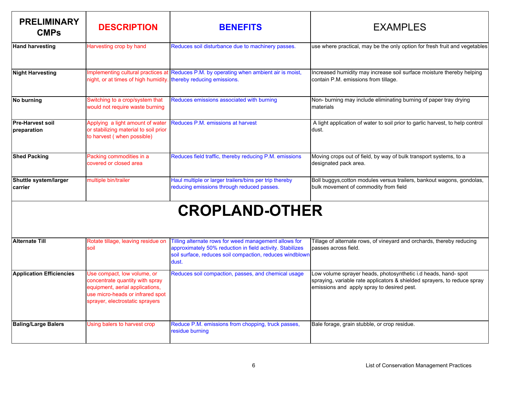| <b>PRELIMINARY</b><br><b>CMPs</b>      | <b>DESCRIPTION</b>                                                                                      | <b>BENEFITS</b>                                                                                      | <b>EXAMPLES</b>                                                                                                 |
|----------------------------------------|---------------------------------------------------------------------------------------------------------|------------------------------------------------------------------------------------------------------|-----------------------------------------------------------------------------------------------------------------|
| <b>Hand harvesting</b>                 | Harvesting crop by hand                                                                                 | Reduces soil disturbance due to machinery passes.                                                    | use where practical, may be the only option for fresh fruit and vegetables                                      |
| <b>Night Harvesting</b>                | night, or at times of high humidity. thereby reducing emissions.                                        | Implementing cultural practices at Reduces P.M. by operating when ambient air is moist,              | Increased humidity may increase soil surface moisture thereby helping<br>contain P.M. emissions from tillage.   |
| No burning                             | Switching to a crop/system that<br>would not require waste burning                                      | Reduces emissions associated with burning                                                            | Non- burning may include eliminating burning of paper tray drying<br>materials                                  |
| <b>Pre-Harvest soil</b><br>preparation | Applying a light amount of water<br>or stabilizing material to soil prior<br>to harvest (when possible) | Reduces P.M. emissions at harvest                                                                    | A light application of water to soil prior to garlic harvest, to help control<br>dust.                          |
| <b>Shed Packing</b>                    | Packing commodities in a<br>covered or closed area                                                      | Reduces field traffic, thereby reducing P.M. emissions                                               | Moving crops out of field, by way of bulk transport systems, to a<br>designated pack area.                      |
| Shuttle system/larger<br>lcarrier      | multiple bin/trailer                                                                                    | Haul multiple or larger trailers/bins per trip thereby<br>reducing emissions through reduced passes. | Boll buggys, cotton modules versus trailers, bankout wagons, gondolas,<br>bulk movement of commodity from field |

#### **CROPLAND-OTHER**

| <b>Alternate Till</b>           | Rotate tillage, leaving residue on<br>soil                                                                                                                               | Tilling alternate rows for weed management allows for<br>approximately 50% reduction in field activity. Stabilizes<br>soil surface, reduces soil compaction, reduces windblown<br>dust. | Tillage of alternate rows, of vineyard and orchards, thereby reducing<br>passes across field.                                                                                           |
|---------------------------------|--------------------------------------------------------------------------------------------------------------------------------------------------------------------------|-----------------------------------------------------------------------------------------------------------------------------------------------------------------------------------------|-----------------------------------------------------------------------------------------------------------------------------------------------------------------------------------------|
| <b>Application Efficiencies</b> | Use compact, low volume, or<br>concentrate quantity with spray<br>equipment, aerial applications,<br>use micro-heads or infrared spot<br>sprayer, electrostatic sprayers | Reduces soil compaction, passes, and chemical usage                                                                                                                                     | Low volume sprayer heads, photosynthetic i.d heads, hand-spot<br>spraying, variable rate applicators & shielded sprayers, to reduce spray<br>emissions and apply spray to desired pest. |
| <b>Baling/Large Balers</b>      | Using balers to harvest crop                                                                                                                                             | Reduce P.M. emissions from chopping, truck passes,<br>residue burning                                                                                                                   | Bale forage, grain stubble, or crop residue.                                                                                                                                            |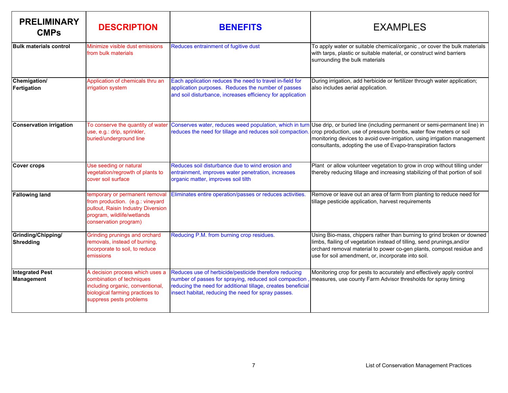| <b>PRELIMINARY</b><br><b>CMPs</b>    | <b>DESCRIPTION</b>                                                                                                                                              | <b>BENEFITS</b>                                                                                                                                                                                                                        | <b>EXAMPLES</b>                                                                                                                                                                                                                                                                           |
|--------------------------------------|-----------------------------------------------------------------------------------------------------------------------------------------------------------------|----------------------------------------------------------------------------------------------------------------------------------------------------------------------------------------------------------------------------------------|-------------------------------------------------------------------------------------------------------------------------------------------------------------------------------------------------------------------------------------------------------------------------------------------|
| <b>Bulk materials control</b>        | Minimize visible dust emissions<br>from bulk materials                                                                                                          | Reduces entrainment of fugitive dust                                                                                                                                                                                                   | To apply water or suitable chemical/organic, or cover the bulk materials<br>with tarps, plastic or suitable material, or construct wind barriers<br>surrounding the bulk materials                                                                                                        |
| Chemigation/<br>Fertigation          | Application of chemicals thru an<br>irrigation system                                                                                                           | Each application reduces the need to travel in-field for<br>application purposes. Reduces the number of passes<br>and soil disturbance, increases efficiency for application                                                           | During irrigation, add herbicide or fertilizer through water application;<br>also includes aerial application.                                                                                                                                                                            |
| <b>Conservation irrigation</b>       | To conserve the quantity of water<br>use, e.g.: drip, sprinkler,<br>buried/underground line                                                                     | Conserves water, reduces weed population, which in turn<br>reduces the need for tillage and reduces soil compaction                                                                                                                    | Use drip, or buried line (including permanent or semi-permanent line) in<br>crop production, use of pressure bombs, water flow meters or soil<br>monitoring devices to avoid over-irrigation, using irrigation management<br>consultants, adopting the use of Evapo-transpiration factors |
| <b>Cover crops</b>                   | Use seeding or natural<br>vegetation/regrowth of plants to<br>cover soil surface                                                                                | Reduces soil disturbance due to wind erosion and<br>entrainment, improves water penetration, increases<br>organic matter, improves soil tilth                                                                                          | Plant or allow volunteer vegetation to grow in crop without tilling under<br>thereby reducing tillage and increasing stabilizing of that portion of soil                                                                                                                                  |
| <b>Fallowing land</b>                | temporary or permanent removal<br>from production. (e.g.: vineyard<br>pullout, Raisin Industry Diversion<br>program, wildlife/wetlands<br>conservation program) | Eliminates entire operation/passes or reduces activities.                                                                                                                                                                              | Remove or leave out an area of farm from planting to reduce need for<br>tillage pesticide application, harvest requirements                                                                                                                                                               |
| Grinding/Chipping/<br>Shredding      | Grinding prunings and orchard<br>removals, instead of burning,<br>incorporate to soil, to reduce<br>emissions                                                   | Reducing P.M. from burning crop residues.                                                                                                                                                                                              | Using Bio-mass, chippers rather than burning to grind broken or downed<br>limbs, flailing of vegetation instead of tilling, send prunings, and/or<br>orchard removal material to power co-gen plants, compost residue and<br>use for soil amendment, or, incorporate into soil.           |
| <b>Integrated Pest</b><br>Management | A decision process which uses a<br>combination of techniques<br>including organic, conventional,<br>biological farming practices to<br>suppress pests problems  | Reduces use of herbicide/pesticide therefore reducing<br>number of passes for spraying, reduced soil compaction<br>reducing the need for additional tillage, creates beneficial<br>insect habitat, reducing the need for spray passes. | Monitoring crop for pests to accurately and effectively apply control<br>measures, use county Farm Advisor thresholds for spray timing                                                                                                                                                    |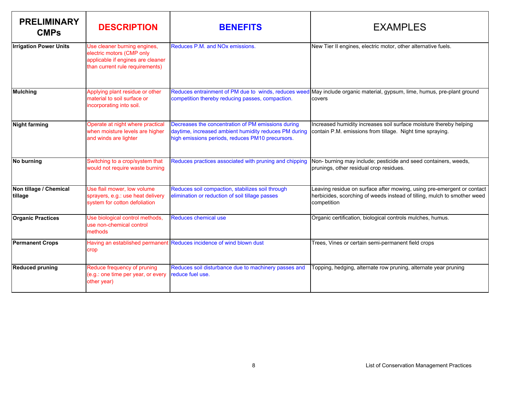| <b>PRELIMINARY</b><br><b>CMPs</b> | <b>DESCRIPTION</b>                                                                                                                | <b>BENEFITS</b>                                                                                                                                                 | <b>EXAMPLES</b>                                                                                                                                                   |
|-----------------------------------|-----------------------------------------------------------------------------------------------------------------------------------|-----------------------------------------------------------------------------------------------------------------------------------------------------------------|-------------------------------------------------------------------------------------------------------------------------------------------------------------------|
| <b>Irrigation Power Units</b>     | Use cleaner burning engines,<br>electric motors (CMP only<br>applicable if engines are cleaner<br>than current rule requirements) | Reduces P.M. and NOx emissions.                                                                                                                                 | New Tier II engines, electric motor, other alternative fuels.                                                                                                     |
| <b>Mulching</b>                   | Applying plant residue or other<br>material to soil surface or<br>incorporating into soil.                                        | Reduces entrainment of PM due to winds, reduces weed<br>competition thereby reducing passes, compaction.                                                        | May include organic material, gypsum, lime, humus, pre-plant ground<br>covers                                                                                     |
| <b>Night farming</b>              | Operate at night where practical<br>when moisture levels are higher<br>and winds are lighter                                      | Decreases the concentration of PM emissions during<br>daytime, increased ambient humidity reduces PM during<br>high emissions periods, reduces PM10 precursors. | Increased humidity increases soil surface moisture thereby helping<br>contain P.M. emissions from tillage. Night time spraying.                                   |
| No burning                        | Switching to a crop/system that<br>would not require waste burning                                                                | Reduces practices associated with pruning and chipping                                                                                                          | Non- burning may include; pesticide and seed containers, weeds,<br>prunings, other residual crop residues.                                                        |
| Non tillage / Chemical<br>tillage | Use flail mower, low volume<br>sprayers, e.g.: use heat delivery<br>system for cotton defoliation                                 | Reduces soil compaction, stabilizes soil through<br>elimination or reduction of soil tillage passes                                                             | Leaving residue on surface after mowing, using pre-emergent or contact<br>herbicides, scorching of weeds instead of tilling, mulch to smother weed<br>competition |
| <b>Organic Practices</b>          | Use biological control methods,<br>use non-chemical control<br>methods                                                            | Reduces chemical use                                                                                                                                            | Organic certification, biological controls mulches, humus.                                                                                                        |
| <b>Permanent Crops</b>            | crop                                                                                                                              | Having an established permanent Reduces incidence of wind blown dust                                                                                            | Trees, Vines or certain semi-permanent field crops                                                                                                                |
| <b>Reduced pruning</b>            | Reduce frequency of pruning<br>(e.g.: one time per year, or every<br>other year)                                                  | Reduces soil disturbance due to machinery passes and<br>reduce fuel use.                                                                                        | Topping, hedging, alternate row pruning, alternate year pruning                                                                                                   |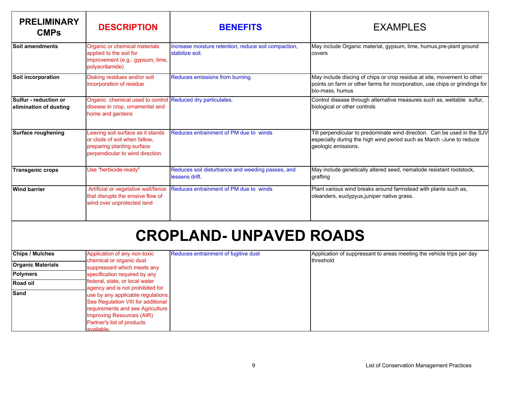| <b>PRELIMINARY</b><br><b>CMPs</b>               | <b>DESCRIPTION</b>                                                                                                                  | <b>BENEFITS</b>                                                         | <b>EXAMPLES</b>                                                                                                                                                           |
|-------------------------------------------------|-------------------------------------------------------------------------------------------------------------------------------------|-------------------------------------------------------------------------|---------------------------------------------------------------------------------------------------------------------------------------------------------------------------|
| Soil amendments                                 | Organic or chemical materials<br>applied to the soil for<br>improvement (e.g.: gypsum, lime,<br>polyacrilamide)                     | Increase moisture retention, reduce soil compaction,<br>stabilize soil. | May include Organic material, gypsum, lime, humus, pre-plant ground<br>covers                                                                                             |
| Soil incorporation                              | Disking residues and/or soil<br>incorporation of residue                                                                            | Reduces emissions from burning.                                         | May include discing of chips or crop residue at site, movement to other<br>points on farm or other farms for incorporation, use chips or grindings for<br>bio-mass, humus |
| Sulfur - reduction or<br>elimination of dusting | Organic chemical used to control Reduced dry particulates.<br>disease in crop, ornamental and<br>home and gardens                   |                                                                         | Control disease through alternative measures such as, wettable sulfur,<br>biological or other controls                                                                    |
| Surface roughening                              | Leaving soil surface as it stands<br>or clods of soil when fallow,<br>preparing planting surface<br>perpendicular to wind direction | Reduces entrainment of PM due to winds                                  | Till perpendicular to predominate wind direction. Can be used in the SJV<br>especially during the high wind period such as March - June to reduce<br>geologic emissions.  |
| <b>Transgenic crops</b>                         | Use "herbicide-ready"                                                                                                               | Reduces soil disturbance and weeding passes, and<br>lessens drift.      | May include genetically altered seed, nematode resistant rootstock,<br>grafting                                                                                           |
| <b>Wind barrier</b>                             | Artificial or vegetative wall/fence<br>that disrupts the erosive flow of<br>wind over unprotected land                              | Reduces entrainment of PM due to winds                                  | Plant various wind breaks around farmstead with plants such as,<br>oleanders, euclypyus, juniper native grass.                                                            |
| <b>CROPLAND- UNPAVED ROADS</b>                  |                                                                                                                                     |                                                                         |                                                                                                                                                                           |

| <b>Chips / Mulches</b>   | Application of any non-toxic                                                                                                                                                          | Reduces entrainment of fugitive dust | Application of suppressant to areas meeting the vehicle trips per day |
|--------------------------|---------------------------------------------------------------------------------------------------------------------------------------------------------------------------------------|--------------------------------------|-----------------------------------------------------------------------|
| <b>Organic Materials</b> | chemical or organic dust<br>suppressant which meets any                                                                                                                               |                                      | threshold                                                             |
| <b>Polymers</b>          | specification required by any                                                                                                                                                         |                                      |                                                                       |
| <b>Road oil</b>          | federal, state, or local water<br>agency and is not prohibited for                                                                                                                    |                                      |                                                                       |
| Sand                     | use by any applicable regulations.<br>See Regulation VIII for additional<br>requirements and see Agriculture<br>Improving Resources (AIR)<br>Partner's list of products<br>available. |                                      |                                                                       |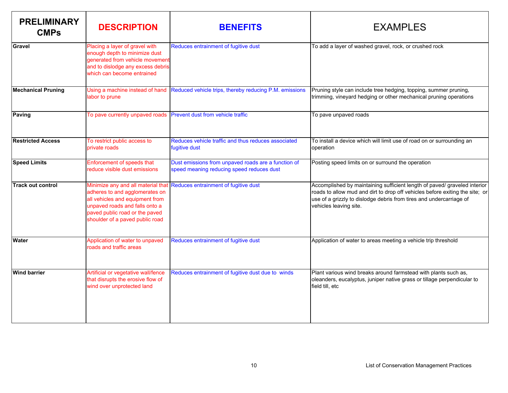| <b>PRELIMINARY</b><br><b>CMPs</b> | <b>DESCRIPTION</b>                                                                                                                                                                                             | <b>BENEFITS</b>                                                                                  | <b>EXAMPLES</b>                                                                                                                                                                                                                                            |
|-----------------------------------|----------------------------------------------------------------------------------------------------------------------------------------------------------------------------------------------------------------|--------------------------------------------------------------------------------------------------|------------------------------------------------------------------------------------------------------------------------------------------------------------------------------------------------------------------------------------------------------------|
| lGravel                           | Placing a layer of gravel with<br>enough depth to minimize dust<br>generated from vehicle movement<br>and to dislodge any excess debris<br>which can become entrained                                          | Reduces entrainment of fugitive dust                                                             | To add a layer of washed gravel, rock, or crushed rock                                                                                                                                                                                                     |
| <b>Mechanical Pruning</b>         | Using a machine instead of hand<br>labor to prune                                                                                                                                                              | Reduced vehicle trips, thereby reducing P.M. emissions                                           | Pruning style can include tree hedging, topping, summer pruning,<br>trimming, vineyard hedging or other mechanical pruning operations                                                                                                                      |
| Paving                            | To pave currently unpaved roads                                                                                                                                                                                | Prevent dust from vehicle traffic                                                                | To pave unpaved roads                                                                                                                                                                                                                                      |
| <b>Restricted Access</b>          | To restrict public access to<br>private roads                                                                                                                                                                  | Reduces vehicle traffic and thus reduces associated<br>fugitive dust                             | To install a device which will limit use of road on or surrounding an<br>operation                                                                                                                                                                         |
| <b>Speed Limits</b>               | Enforcement of speeds that<br>reduce visible dust emissions                                                                                                                                                    | Dust emissions from unpaved roads are a function of<br>speed meaning reducing speed reduces dust | Posting speed limits on or surround the operation                                                                                                                                                                                                          |
| <b>Track out control</b>          | Minimize any and all material that<br>adheres to and agglomerates on<br>all vehicles and equipment from<br>unpaved roads and falls onto a<br>paved public road or the paved<br>shoulder of a paved public road | Reduces entrainment of fugitive dust                                                             | Accomplished by maintaining sufficient length of paved/ graveled interior<br>roads to allow mud and dirt to drop off vehicles before exiting the site; or<br>use of a grizzly to dislodge debris from tires and undercarriage of<br>vehicles leaving site. |
| <b>Water</b>                      | Application of water to unpaved<br>roads and traffic areas                                                                                                                                                     | Reduces entrainment of fugitive dust                                                             | Application of water to areas meeting a vehicle trip threshold                                                                                                                                                                                             |
| <b>Wind barrier</b>               | Artificial or vegetative wall/fence<br>that disrupts the erosive flow of<br>wind over unprotected land                                                                                                         | Reduces entrainment of fugitive dust due to winds                                                | Plant various wind breaks around farmstead with plants such as,<br>oleanders, eucalyptus, juniper native grass or tillage perpendicular to<br>field till, etc                                                                                              |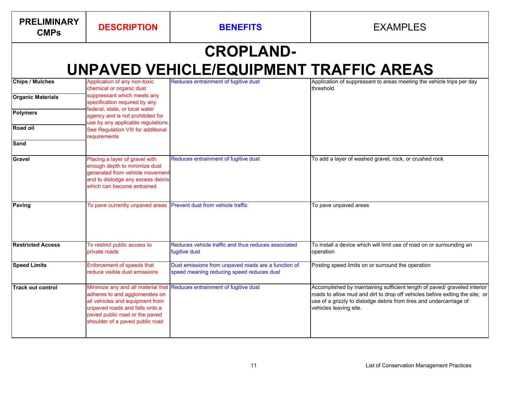| <b>PRELIMINARY</b><br><b>CMPs</b> | <b>DESCRIPTION</b>                                                                                                                                                       | <b>BENEFITS</b>                                                                                  | <b>EXAMPLES</b>                                                                                                                                                                                                                                            |
|-----------------------------------|--------------------------------------------------------------------------------------------------------------------------------------------------------------------------|--------------------------------------------------------------------------------------------------|------------------------------------------------------------------------------------------------------------------------------------------------------------------------------------------------------------------------------------------------------------|
|                                   |                                                                                                                                                                          | <b>CROPLAND-</b>                                                                                 |                                                                                                                                                                                                                                                            |
|                                   |                                                                                                                                                                          | UNPAVED VEHICLE/EQUIPMENT TRAFFIC AREAS                                                          |                                                                                                                                                                                                                                                            |
| <b>Chips / Mulches</b>            | Application of any non-toxic<br>chemical or organic dust                                                                                                                 | Reduces entrainment of fugitive dust                                                             | Application of suppressant to areas meeting the vehicle trips per day<br>threshold                                                                                                                                                                         |
| <b>Organic Materials</b>          | suppressant which meets any<br>specification required by any                                                                                                             |                                                                                                  |                                                                                                                                                                                                                                                            |
| <b>Polymers</b>                   | federal, state, or local water<br>agency and is not prohibited for<br>use by any applicable regulations.                                                                 |                                                                                                  |                                                                                                                                                                                                                                                            |
| <b>Road oil</b>                   | See Regulation VIII for additional<br>requirements                                                                                                                       |                                                                                                  |                                                                                                                                                                                                                                                            |
| Sand                              |                                                                                                                                                                          |                                                                                                  |                                                                                                                                                                                                                                                            |
| Gravel                            | Placing a layer of gravel with<br>enough depth to minimize dust<br>generated from vehicle movement<br>and to dislodge any excess debris<br>which can become entrained    | Reduces entrainment of fugitive dust                                                             | To add a layer of washed gravel, rock, or crushed rock                                                                                                                                                                                                     |
| Paving                            | To pave currently unpaved areas                                                                                                                                          | Prevent dust from vehicle traffic                                                                | To pave unpaved areas                                                                                                                                                                                                                                      |
| <b>Restricted Access</b>          | To restrict public access to<br>private roads                                                                                                                            | Reduces vehicle traffic and thus reduces associated<br>fugitive dust                             | To install a device which will limit use of road on or surrounding an<br>operation                                                                                                                                                                         |
| <b>Speed Limits</b>               | Enforcement of speeds that<br>reduce visible dust emissions                                                                                                              | Dust emissions from unpaved roads are a function of<br>speed meaning reducing speed reduces dust | Posting speed limits on or surround the operation                                                                                                                                                                                                          |
| <b>Track out control</b>          | adheres to and agglomerates on<br>all vehicles and equipment from<br>unpaved roads and falls onto a<br>paved public road or the paved<br>shoulder of a paved public road | Minimize any and all material that Reduces entrainment of fugitive dust                          | Accomplished by maintaining sufficient length of paved/ graveled interior<br>roads to allow mud and dirt to drop off vehicles before exiting the site; or<br>use of a grizzly to dislodge debris from tires and undercarriage of<br>vehicles leaving site. |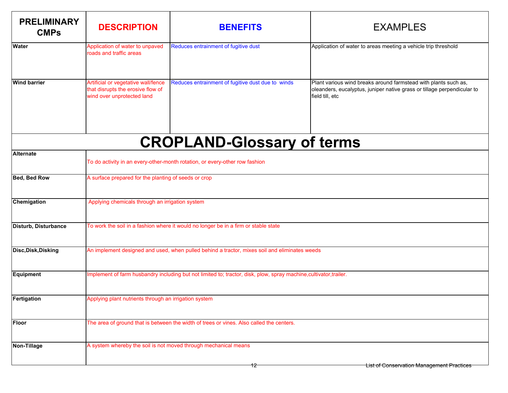| <b>PRELIMINARY</b><br><b>CMPs</b> | <b>DESCRIPTION</b>                                                                                                 | <b>BENEFITS</b>                                   | <b>EXAMPLES</b>                                                                                                                                               |
|-----------------------------------|--------------------------------------------------------------------------------------------------------------------|---------------------------------------------------|---------------------------------------------------------------------------------------------------------------------------------------------------------------|
| Water                             | Application of water to unpaved<br>roads and traffic areas                                                         | Reduces entrainment of fugitive dust              | Application of water to areas meeting a vehicle trip threshold                                                                                                |
| <b>Wind barrier</b>               | Artificial or vegetative wall/fence<br>that disrupts the erosive flow of<br>wind over unprotected land             | Reduces entrainment of fugitive dust due to winds | Plant various wind breaks around farmstead with plants such as,<br>oleanders, eucalyptus, juniper native grass or tillage perpendicular to<br>field till, etc |
|                                   |                                                                                                                    | <b>CROPLAND-Glossary of terms</b>                 |                                                                                                                                                               |
| <b>Alternate</b>                  | To do activity in an every-other-month rotation, or every-other row fashion                                        |                                                   |                                                                                                                                                               |
| Bed, Bed Row                      | A surface prepared for the planting of seeds or crop                                                               |                                                   |                                                                                                                                                               |
| Chemigation                       | Applying chemicals through an irrigation system                                                                    |                                                   |                                                                                                                                                               |
| Disturb, Disturbance              | To work the soil in a fashion where it would no longer be in a firm or stable state                                |                                                   |                                                                                                                                                               |
| Disc, Disk, Disking               | An implement designed and used, when pulled behind a tractor, mixes soil and eliminates weeds                      |                                                   |                                                                                                                                                               |
| Equipment                         | Implement of farm husbandry including but not limited to; tractor, disk, plow, spray machine, cultivator, trailer. |                                                   |                                                                                                                                                               |
| Fertigation                       | Applying plant nutrients through an irrigation system                                                              |                                                   |                                                                                                                                                               |
| <b>Floor</b>                      | The area of ground that is between the width of trees or vines. Also called the centers.                           |                                                   |                                                                                                                                                               |
| Non-Tillage                       | A system whereby the soil is not moved through mechanical means                                                    |                                                   |                                                                                                                                                               |
|                                   |                                                                                                                    | ΤΖ                                                | <b>List of Conservation Management Practices</b>                                                                                                              |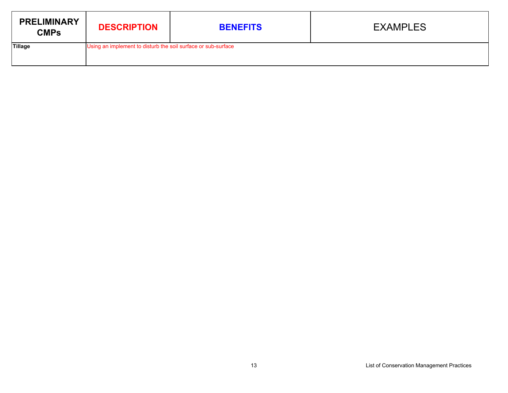| <b>PRELIMINARY</b><br><b>CMPs</b> | <b>DESCRIPTION</b>                                            | <b>BENEFITS</b> | <b>EXAMPLES</b> |
|-----------------------------------|---------------------------------------------------------------|-----------------|-----------------|
| Tillage                           | Using an implement to disturb the soil surface or sub-surface |                 |                 |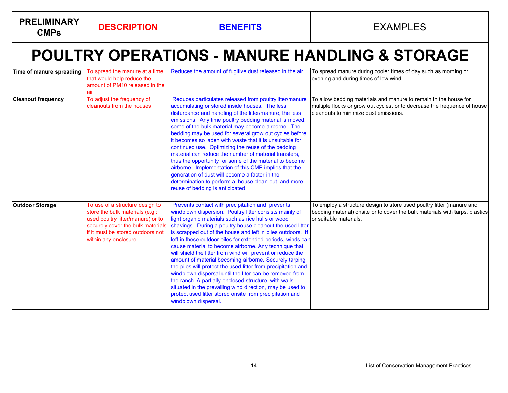**PRELIMINARY** 

# **POULTRY OPERATIONS - MANURE HANDLING & STORAGE**

| Time of manure spreading  | To spread the manure at a time<br>that would help reduce the<br>amount of PM10 released in the<br>air                                                                                                     | Reduces the amount of fugitive dust released in the air                                                                                                                                                                                                                                                                                                                                                                                                                                                                                                                                                                                                                                                                                                                                                                                                                              | To spread manure during cooler times of day such as morning or<br>evening and during times of low wind.                                                                                |
|---------------------------|-----------------------------------------------------------------------------------------------------------------------------------------------------------------------------------------------------------|--------------------------------------------------------------------------------------------------------------------------------------------------------------------------------------------------------------------------------------------------------------------------------------------------------------------------------------------------------------------------------------------------------------------------------------------------------------------------------------------------------------------------------------------------------------------------------------------------------------------------------------------------------------------------------------------------------------------------------------------------------------------------------------------------------------------------------------------------------------------------------------|----------------------------------------------------------------------------------------------------------------------------------------------------------------------------------------|
| <b>Cleanout frequency</b> | To adjust the frequency of<br>cleanouts from the houses                                                                                                                                                   | Reduces particulates released from poultrylitter/manure<br>accumulating or stored inside houses. The less<br>disturbance and handling of the litter/manure, the less<br>emissions. Any time poultry bedding material is moved,<br>some of the bulk material may become airborne. The<br>bedding may be used for several grow out cycles before<br>it becomes so laden with waste that it is unsuitable for<br>continued use. Optimizing the reuse of the bedding<br>material can reduce the number of material transfers,<br>thus the opportunity for some of the material to become<br>airborne. Implementation of this CMP implies that the<br>generation of dust will become a factor in the<br>determination to perform a house clean-out, and more<br>reuse of bedding is anticipated.                                                                                          | To allow bedding materials and manure to remain in the house for<br>multiple flocks or grow out cycles, or to decrease the frequence of house<br>cleanouts to minimize dust emissions. |
| <b>Outdoor Storage</b>    | To use of a structure design to<br>store the bulk materials (e.g.:<br>used poultry litter/manure) or to<br>securely cover the bulk materials<br>if it must be stored outdoors not<br>within any enclosure | Prevents contact with precipitation and prevents<br>windblown dispersion. Poultry litter consists mainly of<br>light organic materials such as rice hulls or wood<br>shavings. During a poultry house cleanout the used litter<br>is scrapped out of the house and left in piles outdoors. If<br>left in these outdoor piles for extended periods, winds can<br>cause material to become airborne. Any technique that<br>will shield the litter from wind will prevent or reduce the<br>amount of material becoming airborne. Securely tarping<br>the piles will protect the used litter from precipitation and<br>windblown dispersal until the liter can be removed from<br>the ranch. A partially enclosed structure, with walls<br>situated in the prevailing wind direction, may be used to<br>protect used litter stored onsite from precipitation and<br>windblown dispersal. | To employ a structure design to store used poultry litter (manure and<br>bedding material) onsite or to cover the bulk materials with tarps, plastics<br>or suitable materials.        |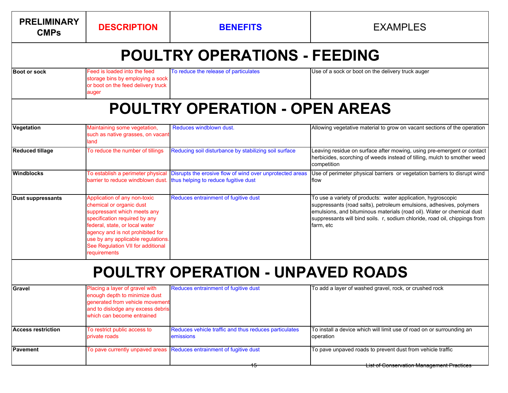| <b>PRELIMINARY</b><br><b>CMPs</b> | <b>DESCRIPTION</b>                                                                                                                                                                                                                                                                        | <b>BENEFITS</b>                                                                                                                                                      | <b>EXAMPLES</b>                                                                                                                                                                                                                                                                                          |
|-----------------------------------|-------------------------------------------------------------------------------------------------------------------------------------------------------------------------------------------------------------------------------------------------------------------------------------------|----------------------------------------------------------------------------------------------------------------------------------------------------------------------|----------------------------------------------------------------------------------------------------------------------------------------------------------------------------------------------------------------------------------------------------------------------------------------------------------|
|                                   |                                                                                                                                                                                                                                                                                           | <b>POULTRY OPERATIONS - FEEDING</b>                                                                                                                                  |                                                                                                                                                                                                                                                                                                          |
| <b>Boot or sock</b>               | Feed is loaded into the feed<br>storage bins by employing a sock<br>or boot on the feed delivery truck<br>auger                                                                                                                                                                           | To reduce the release of particulates                                                                                                                                | Use of a sock or boot on the delivery truck auger                                                                                                                                                                                                                                                        |
|                                   |                                                                                                                                                                                                                                                                                           | <b>POULTRY OPERATION - OPEN AREAS</b>                                                                                                                                |                                                                                                                                                                                                                                                                                                          |
| Vegetation                        | Maintaining some vegetation,<br>such as native grasses, on vacant<br>land                                                                                                                                                                                                                 | Reduces windblown dust.                                                                                                                                              | Allowing vegetative material to grow on vacant sections of the operation                                                                                                                                                                                                                                 |
| <b>Reduced tillage</b>            | To reduce the number of tillings                                                                                                                                                                                                                                                          | Reducing soil disturbance by stabilizing soil surface                                                                                                                | Leaving residue on surface after mowing, using pre-emergent or contact<br>herbicides, scorching of weeds instead of tilling, mulch to smother weed<br>competition                                                                                                                                        |
| <b>Windblocks</b>                 |                                                                                                                                                                                                                                                                                           | To establish a perimeter physical Disrupts the erosive flow of wind over unprotected areas<br>barrier to reduce windblown dust. thus helping to reduce fugitive dust | Use of perimeter physical barriers or vegetation barriers to disrupt wind<br>flow                                                                                                                                                                                                                        |
| <b>Dust suppressants</b>          | Application of any non-toxic<br>chemical or organic dust<br>suppressant which meets any<br>specification required by any<br>federal, state, or local water<br>agency and is not prohibited for<br>use by any applicable regulations.<br>See Regulation VII for additional<br>requirements | Reduces entrainment of fugitive dust                                                                                                                                 | To use a variety of products: water application, hygroscopic<br>suppressants (road salts), petroleum emulsions, adhesives, polymers<br>emulsions, and bituminous materials (road oil). Water or chemical dust<br>suppressants will bind soils. r, sodium chloride, road oil, chippings from<br>farm, etc |
|                                   |                                                                                                                                                                                                                                                                                           | <b>POULTRY OPERATION - UNPAVED ROADS</b>                                                                                                                             |                                                                                                                                                                                                                                                                                                          |
| Gravel                            | Placing a layer of gravel with<br>enough depth to minimize dust<br>generated from vehicle movement<br>and to dislodge any excess debris<br>which can become entrained                                                                                                                     | Reduces entrainment of fugitive dust                                                                                                                                 | To add a layer of washed gravel, rock, or crushed rock                                                                                                                                                                                                                                                   |
| <b>Access restriction</b>         | To restrict public access to<br>private roads                                                                                                                                                                                                                                             | Reduces vehicle traffic and thus reduces particulates<br>emissions                                                                                                   | To install a device which will limit use of road on or surrounding an<br>operation                                                                                                                                                                                                                       |
| <b>Pavement</b>                   |                                                                                                                                                                                                                                                                                           | To pave currently unpaved areas Reduces entrainment of fugitive dust                                                                                                 | To pave unpaved roads to prevent dust from vehicle traffic                                                                                                                                                                                                                                               |
|                                   |                                                                                                                                                                                                                                                                                           |                                                                                                                                                                      | <b>List of Conservation Management Practices</b>                                                                                                                                                                                                                                                         |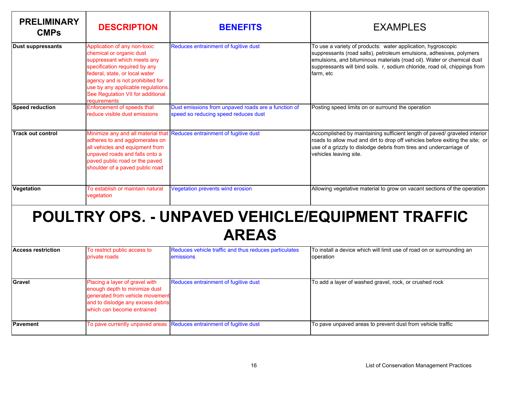| <b>PRELIMINARY</b><br><b>CMPs</b> | <b>DESCRIPTION</b>                                                                                                                                                                                                                                                                        | <b>BENEFITS</b>                                                                             | <b>EXAMPLES</b>                                                                                                                                                                                                                                                                                          |
|-----------------------------------|-------------------------------------------------------------------------------------------------------------------------------------------------------------------------------------------------------------------------------------------------------------------------------------------|---------------------------------------------------------------------------------------------|----------------------------------------------------------------------------------------------------------------------------------------------------------------------------------------------------------------------------------------------------------------------------------------------------------|
| <b>Dust suppressants</b>          | Application of any non-toxic<br>chemical or organic dust<br>suppressant which meets any<br>specification required by any<br>federal, state, or local water<br>agency and is not prohibited for<br>use by any applicable regulations.<br>See Regulation VII for additional<br>requirements | Reduces entrainment of fugitive dust                                                        | To use a variety of products: water application, hygroscopic<br>suppressants (road salts), petroleum emulsions, adhesives, polymers<br>emulsions, and bituminous materials (road oil). Water or chemical dust<br>suppressants will bind soils. r, sodium chloride, road oil, chippings from<br>farm, etc |
| <b>Speed reduction</b>            | Enforcement of speeds that<br>reduce visible dust emissions                                                                                                                                                                                                                               | Dust emissions from unpaved roads are a function of<br>speed so reducing speed reduces dust | Posting speed limits on or surround the operation                                                                                                                                                                                                                                                        |
| <b>Track out control</b>          | Minimize any and all material that<br>adheres to and agglomerates on<br>all vehicles and equipment from<br>unpaved roads and falls onto a<br>paved public road or the paved<br>shoulder of a paved public road                                                                            | Reduces entrainment of fugitive dust                                                        | Accomplished by maintaining sufficient length of paved/ graveled interior<br>roads to allow mud and dirt to drop off vehicles before exiting the site; or<br>use of a grizzly to dislodge debris from tires and undercarriage of<br>vehicles leaving site.                                               |
| Vegetation                        | To establish or maintain natural<br>vegetation                                                                                                                                                                                                                                            | Vegetation prevents wind erosion                                                            | Allowing vegetative material to grow on vacant sections of the operation                                                                                                                                                                                                                                 |

# **POULTRY OPS. - UNPAVED VEHICLE/EQUIPMENT TRAFFIC AREAS**

| <b>Access restriction</b> | To restrict public access to<br>private roads                                                                                                                         | Reduces vehicle traffic and thus reduces particulates<br><b>emissions</b> | To install a device which will limit use of road on or surrounding an<br>operation |
|---------------------------|-----------------------------------------------------------------------------------------------------------------------------------------------------------------------|---------------------------------------------------------------------------|------------------------------------------------------------------------------------|
| Gravel                    | Placing a layer of gravel with<br>enough depth to minimize dust<br>generated from vehicle movement<br>and to dislodge any excess debris<br>which can become entrained | Reduces entrainment of fugitive dust                                      | To add a layer of washed gravel, rock, or crushed rock                             |
| <b>IPavement</b>          |                                                                                                                                                                       | To pave currently unpaved areas Reduces entrainment of fugitive dust      | To pave unpaved areas to prevent dust from vehicle traffic                         |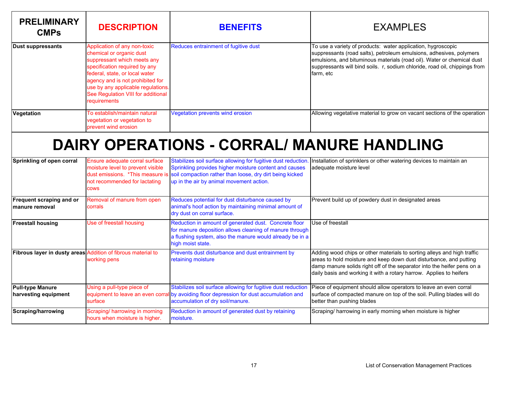| <b>PRELIMINARY</b><br><b>CMPs</b>                            | <b>DESCRIPTION</b>                                                                                                                                                                                                                                                                         | <b>BENEFITS</b>                                                                                                                                                                                                                                                  | <b>EXAMPLES</b>                                                                                                                                                                                                                                                                                          |
|--------------------------------------------------------------|--------------------------------------------------------------------------------------------------------------------------------------------------------------------------------------------------------------------------------------------------------------------------------------------|------------------------------------------------------------------------------------------------------------------------------------------------------------------------------------------------------------------------------------------------------------------|----------------------------------------------------------------------------------------------------------------------------------------------------------------------------------------------------------------------------------------------------------------------------------------------------------|
| <b>Dust suppressants</b>                                     | Application of any non-toxic<br>chemical or organic dust<br>suppressant which meets any<br>specification required by any<br>federal, state, or local water<br>agency and is not prohibited for<br>use by any applicable regulations.<br>See Regulation VIII for additional<br>requirements | Reduces entrainment of fugitive dust                                                                                                                                                                                                                             | To use a variety of products: water application, hygroscopic<br>suppressants (road salts), petroleum emulsions, adhesives, polymers<br>emulsions, and bituminous materials (road oil). Water or chemical dust<br>suppressants will bind soils. r, sodium chloride, road oil, chippings from<br>farm, etc |
| Vegetation                                                   | To establish/maintain natural<br>vegetation or vegetation to<br>prevent wind erosion                                                                                                                                                                                                       | Vegetation prevents wind erosion                                                                                                                                                                                                                                 | Allowing vegetative material to grow on vacant sections of the operation                                                                                                                                                                                                                                 |
|                                                              |                                                                                                                                                                                                                                                                                            | <b>DAIRY OPERATIONS - CORRAL/ MANURE HANDLING</b>                                                                                                                                                                                                                |                                                                                                                                                                                                                                                                                                          |
| Sprinkling of open corral                                    | Ensure adequate corral surface<br>moisture level to prevent visible<br>not recommended for lactating<br><b>COWS</b>                                                                                                                                                                        | Stabilizes soil surface allowing for fugitive dust reduction.<br>Sprinkling provides higher moisture content and causes<br>dust emissions. *This measure is soil compaction rather than loose, dry dirt being kicked<br>up in the air by animal movement action. | Installation of sprinklers or other watering devices to maintain an<br>adequate moisture level                                                                                                                                                                                                           |
| Frequent scraping and or<br>manure removal                   | Removal of manure from open<br>corrals                                                                                                                                                                                                                                                     | Reduces potential for dust disturbance caused by<br>animal's hoof action by maintaining minimal amount of<br>dry dust on corral surface.                                                                                                                         | Prevent build up of powdery dust in designated areas                                                                                                                                                                                                                                                     |
| <b>Freestall housing</b>                                     | Use of freestall housing                                                                                                                                                                                                                                                                   | Reduction in amount of generated dust. Concrete floor<br>for manure deposition allows cleaning of manure through<br>a flushing system, also the manure would already be in a<br>high moist state.                                                                | Use of freestall                                                                                                                                                                                                                                                                                         |
| Fibrous layer in dusty areas Addition of fibrous material to | working pens                                                                                                                                                                                                                                                                               | Prevents dust disturbance and dust entrainment by<br>retaining moisture                                                                                                                                                                                          | Adding wood chips or other materials to sorting alleys and high traffic<br>areas to hold moisture and keep down dust disturbance, and putting<br>damp manure solids right off of the separator into the heifer pens on a<br>daily basis and working it with a rotary harrow. Applies to heifers          |
| <b>Pull-type Manure</b><br>harvesting equipment              | Using a pull-type piece of<br>equipment to leave an even corra<br>surface                                                                                                                                                                                                                  | Stabilizes soil surface allowing for fugitive dust reduction<br>I by avoiding floor depression for dust accumulation and<br>accumulation of dry soil/manure.                                                                                                     | Piece of equipment should allow operators to leave an even corral<br>surface of compacted manure on top of the soil. Pulling blades will do<br>better than pushing blades                                                                                                                                |
| Scraping/harrowing                                           | Scraping/ harrowing in morning<br>hours when moisture is higher.                                                                                                                                                                                                                           | Reduction in amount of generated dust by retaining<br>moisture.                                                                                                                                                                                                  | Scraping/ harrowing in early morning when moisture is higher                                                                                                                                                                                                                                             |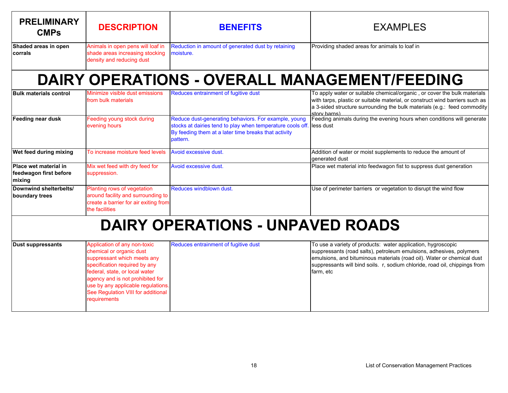| <b>PRELIMINARY</b><br><b>CMPs</b>                         | <b>DESCRIPTION</b>                                                                                                                                                                                                                                                                         | <b>BENEFITS</b>                                                                                                                                                                        | <b>EXAMPLES</b>                                                                                                                                                                                                                                                                                          |
|-----------------------------------------------------------|--------------------------------------------------------------------------------------------------------------------------------------------------------------------------------------------------------------------------------------------------------------------------------------------|----------------------------------------------------------------------------------------------------------------------------------------------------------------------------------------|----------------------------------------------------------------------------------------------------------------------------------------------------------------------------------------------------------------------------------------------------------------------------------------------------------|
| Shaded areas in open<br><b>corrals</b>                    | Animals in open pens will loaf in<br>shade areas increasing stocking<br>density and reducing dust                                                                                                                                                                                          | Reduction in amount of generated dust by retaining<br>moisture.                                                                                                                        | Providing shaded areas for animals to loaf in                                                                                                                                                                                                                                                            |
|                                                           |                                                                                                                                                                                                                                                                                            |                                                                                                                                                                                        | <b>DAIRY OPERATIONS - OVERALL MANAGEMENT/FEEDING</b>                                                                                                                                                                                                                                                     |
| <b>Bulk materials control</b>                             | Minimize visible dust emissions<br>from bulk materials                                                                                                                                                                                                                                     | Reduces entrainment of fugitive dust                                                                                                                                                   | To apply water or suitable chemical/organic, or cover the bulk materials<br>with tarps, plastic or suitable material, or construct wind barriers such as<br>a 3-sided structure surrounding the bulk materials (e.g.: feed commodity<br>story harns)                                                     |
| Feeding near dusk                                         | Feeding young stock during<br>evening hours                                                                                                                                                                                                                                                | Reduce dust-generating behaviors. For example, young<br>stocks at dairies tend to play when temperature cools off.<br>By feeding them at a later time breaks that activity<br>pattern. | Feeding animals during the evening hours when conditions will generate<br>less dust                                                                                                                                                                                                                      |
| Wet feed during mixing                                    | To increase moisture feed levels                                                                                                                                                                                                                                                           | Avoid excessive dust.                                                                                                                                                                  | Addition of water or moist supplements to reduce the amount of<br>generated dust                                                                                                                                                                                                                         |
| Place wet material in<br>feedwagon first before<br>mixing | Mix wet feed with dry feed for<br>suppression.                                                                                                                                                                                                                                             | Avoid excessive dust.                                                                                                                                                                  | Place wet material into feedwagon fist to suppress dust generation                                                                                                                                                                                                                                       |
| Downwind shelterbelts/<br>boundary trees                  | Planting rows of vegetation<br>around facility and surrounding to<br>create a barrier for air exiting from<br>the facilities                                                                                                                                                               | Reduces windblown dust.                                                                                                                                                                | Use of perimeter barriers or vegetation to disrupt the wind flow                                                                                                                                                                                                                                         |
|                                                           |                                                                                                                                                                                                                                                                                            | <b>DAIRY OPERATIONS - UNPAVED ROADS</b>                                                                                                                                                |                                                                                                                                                                                                                                                                                                          |
| <b>Dust suppressants</b>                                  | Application of any non-toxic<br>chemical or organic dust<br>suppressant which meets any<br>specification required by any<br>federal, state, or local water<br>agency and is not prohibited for<br>use by any applicable regulations.<br>See Regulation VIII for additional<br>requirements | Reduces entrainment of fugitive dust                                                                                                                                                   | To use a variety of products: water application, hygroscopic<br>suppressants (road salts), petroleum emulsions, adhesives, polymers<br>emulsions, and bituminous materials (road oil). Water or chemical dust<br>suppressants will bind soils. r, sodium chloride, road oil, chippings from<br>farm, etc |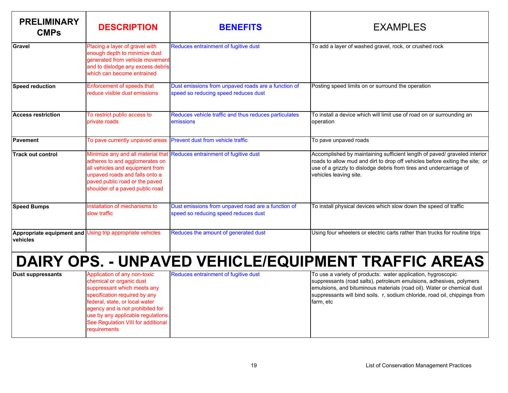| <b>PRELIMINARY</b><br><b>CMPs</b> | <b>DESCRIPTION</b>                                                                                                                                                       | <b>BENEFITS</b>                                                                             | <b>EXAMPLES</b>                                                                                                                                                                                                                                            |
|-----------------------------------|--------------------------------------------------------------------------------------------------------------------------------------------------------------------------|---------------------------------------------------------------------------------------------|------------------------------------------------------------------------------------------------------------------------------------------------------------------------------------------------------------------------------------------------------------|
| Gravel                            | Placing a layer of gravel with<br>enough depth to minimize dust<br>generated from vehicle movement<br>and to dislodge any excess debris<br>which can become entrained    | Reduces entrainment of fugitive dust                                                        | To add a layer of washed gravel, rock, or crushed rock                                                                                                                                                                                                     |
| <b>Speed reduction</b>            | Enforcement of speeds that<br>reduce visible dust emissions                                                                                                              | Dust emissions from unpaved roads are a function of<br>speed so reducing speed reduces dust | Posting speed limits on or surround the operation                                                                                                                                                                                                          |
| <b>Access restriction</b>         | To restrict public access to<br>private roads                                                                                                                            | Reduces vehicle traffic and thus reduces particulates<br>emissions                          | To install a device which will limit use of road on or surrounding an<br>operation                                                                                                                                                                         |
| <b>Pavement</b>                   | To pave currently unpaved areas                                                                                                                                          | Prevent dust from vehicle traffic                                                           | To pave unpaved roads                                                                                                                                                                                                                                      |
| <b>Track out control</b>          | adheres to and agglomerates on<br>all vehicles and equipment from<br>unpaved roads and falls onto a<br>paved public road or the paved<br>shoulder of a paved public road | Minimize any and all material that Reduces entrainment of fugitive dust                     | Accomplished by maintaining sufficient length of paved/ graveled interior<br>roads to allow mud and dirt to drop off vehicles before exiting the site; or<br>use of a grizzly to dislodge debris from tires and undercarriage of<br>vehicles leaving site. |
| <b>Speed Bumps</b>                | Installation of mechanisms to<br>slow traffic                                                                                                                            | Dust emissions from unpaved road are a function of<br>speed so reducing speed reduces dust  | To install physical devices which slow down the speed of traffic                                                                                                                                                                                           |
| vehicles                          | Appropriate equipment and Using trip appropriate vehicles                                                                                                                | Reduces the amount of generated dust                                                        | Using four wheelers or electric carts rather than trucks for routine trips                                                                                                                                                                                 |
|                                   |                                                                                                                                                                          |                                                                                             | DAIRY OPS. - UNPAVED VEHICLE/EQUIPMENT TRAFFIC AREAS                                                                                                                                                                                                       |

| Application of any non-toxic<br><b>IDust suppressants</b><br>chemical or organic dust<br>suppressant which meets any<br>specification required by any<br>federal, state, or local water<br>agency and is not prohibited for<br>use by any applicable regulations.<br>See Regulation VIII for additional<br>requirements | Reduces entrainment of fugitive dust | To use a variety of products: water application, hygroscopic<br>suppressants (road salts), petroleum emulsions, adhesives, polymers<br>emulsions, and bituminous materials (road oil). Water or chemical dust<br>suppressants will bind soils. r, sodium chloride, road oil, chippings from<br>farm, etc |
|-------------------------------------------------------------------------------------------------------------------------------------------------------------------------------------------------------------------------------------------------------------------------------------------------------------------------|--------------------------------------|----------------------------------------------------------------------------------------------------------------------------------------------------------------------------------------------------------------------------------------------------------------------------------------------------------|
|-------------------------------------------------------------------------------------------------------------------------------------------------------------------------------------------------------------------------------------------------------------------------------------------------------------------------|--------------------------------------|----------------------------------------------------------------------------------------------------------------------------------------------------------------------------------------------------------------------------------------------------------------------------------------------------------|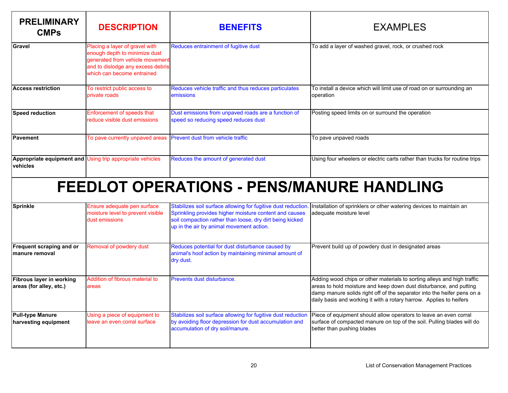| <b>PRELIMINARY</b><br><b>CMPs</b>                                     | <b>DESCRIPTION</b>                                                                                                                                                    | <b>BENEFITS</b>                                                                                                                                                                                                                | <b>EXAMPLES</b>                                                                                                                                                                                                                                                                                 |
|-----------------------------------------------------------------------|-----------------------------------------------------------------------------------------------------------------------------------------------------------------------|--------------------------------------------------------------------------------------------------------------------------------------------------------------------------------------------------------------------------------|-------------------------------------------------------------------------------------------------------------------------------------------------------------------------------------------------------------------------------------------------------------------------------------------------|
| Gravel                                                                | Placing a layer of gravel with<br>enough depth to minimize dust<br>generated from vehicle movement<br>and to dislodge any excess debris<br>which can become entrained | Reduces entrainment of fugitive dust                                                                                                                                                                                           | To add a layer of washed gravel, rock, or crushed rock                                                                                                                                                                                                                                          |
| <b>Access restriction</b>                                             | To restrict public access to<br>private roads                                                                                                                         | Reduces vehicle traffic and thus reduces particulates<br>emissions                                                                                                                                                             | To install a device which will limit use of road on or surrounding an<br>operation                                                                                                                                                                                                              |
| <b>Speed reduction</b>                                                | Enforcement of speeds that<br>reduce visible dust emissions                                                                                                           | Dust emissions from unpaved roads are a function of<br>speed so reducing speed reduces dust                                                                                                                                    | Posting speed limits on or surround the operation                                                                                                                                                                                                                                               |
| Pavement                                                              | To pave currently unpaved areas                                                                                                                                       | Prevent dust from vehicle traffic                                                                                                                                                                                              | To pave unpaved roads                                                                                                                                                                                                                                                                           |
| Appropriate equipment and Using trip appropriate vehicles<br>vehicles |                                                                                                                                                                       | Reduces the amount of generated dust                                                                                                                                                                                           | Using four wheelers or electric carts rather than trucks for routine trips                                                                                                                                                                                                                      |
|                                                                       |                                                                                                                                                                       | <b>FEEDLOT OPERATIONS - PENS/MANURE HANDLING</b>                                                                                                                                                                               |                                                                                                                                                                                                                                                                                                 |
| <b>Sprinkle</b>                                                       | Ensure adequate pen surface<br>moisture level to prevent visible<br>dust emissions                                                                                    | Stabilizes soil surface allowing for fugitive dust reduction<br>Sprinkling provides higher moisture content and causes<br>soil compaction rather than loose, dry dirt being kicked<br>up in the air by animal movement action. | Installation of sprinklers or other watering devices to maintain an<br>adequate moisture level                                                                                                                                                                                                  |
| <b>Frequent scraping and or</b><br>manure removal                     | Removal of powdery dust                                                                                                                                               | Reduces potential for dust disturbance caused by<br>animal's hoof action by maintaining minimal amount of<br>dry dust.                                                                                                         | Prevent build up of powdery dust in designated areas                                                                                                                                                                                                                                            |
| Fibrous layer in working<br>areas (for alley, etc.)                   | Addition of fibrous material to<br>areas                                                                                                                              | Prevents dust disturbance.                                                                                                                                                                                                     | Adding wood chips or other materials to sorting alleys and high traffic<br>areas to hold moisture and keep down dust disturbance, and putting<br>damp manure solids right off of the separator into the heifer pens on a<br>daily basis and working it with a rotary harrow. Applies to heifers |
| <b>Pull-type Manure</b><br>harvesting equipment                       | Using a piece of equipment to<br>leave an even corral surface                                                                                                         | Stabilizes soil surface allowing for fugitive dust reduction<br>by avoiding floor depression for dust accumulation and<br>accumulation of dry soil/manure.                                                                     | Piece of equipment should allow operators to leave an even corral<br>surface of compacted manure on top of the soil. Pulling blades will do<br>better than pushing blades                                                                                                                       |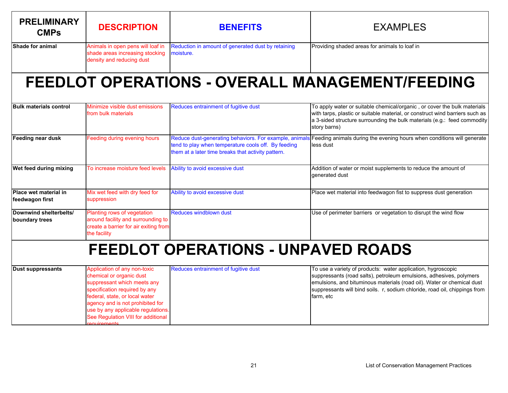| <b>PRELIMINARY</b><br><b>CMPs</b>               | <b>DESCRIPTION</b>                                                                                                                                                                                                                                                                               | <b>BENEFITS</b>                                                                                                                                                     | <b>EXAMPLES</b>                                                                                                                                                                                                                                                                                          |
|-------------------------------------------------|--------------------------------------------------------------------------------------------------------------------------------------------------------------------------------------------------------------------------------------------------------------------------------------------------|---------------------------------------------------------------------------------------------------------------------------------------------------------------------|----------------------------------------------------------------------------------------------------------------------------------------------------------------------------------------------------------------------------------------------------------------------------------------------------------|
| Shade for animal                                | Animals in open pens will loaf in<br>shade areas increasing stocking<br>density and reducing dust                                                                                                                                                                                                | Reduction in amount of generated dust by retaining<br>moisture.                                                                                                     | Providing shaded areas for animals to loaf in                                                                                                                                                                                                                                                            |
|                                                 |                                                                                                                                                                                                                                                                                                  |                                                                                                                                                                     | <b>FEEDLOT OPERATIONS - OVERALL MANAGEMENT/FEEDING</b>                                                                                                                                                                                                                                                   |
| <b>Bulk materials control</b>                   | Minimize visible dust emissions<br>from bulk materials                                                                                                                                                                                                                                           | Reduces entrainment of fugitive dust                                                                                                                                | To apply water or suitable chemical/organic, or cover the bulk materials<br>with tarps, plastic or suitable material, or construct wind barriers such as<br>a 3-sided structure surrounding the bulk materials (e.g.: feed commodity<br>story barns)                                                     |
| Feeding near dusk                               | Feeding during evening hours                                                                                                                                                                                                                                                                     | Reduce dust-generating behaviors. For example, animals<br>tend to play when temperature cools off. By feeding<br>them at a later time breaks that activity pattern. | Feeding animals during the evening hours when conditions will generate<br>less dust                                                                                                                                                                                                                      |
| Wet feed during mixing                          | To increase moisture feed levels                                                                                                                                                                                                                                                                 | Ability to avoid excessive dust                                                                                                                                     | Addition of water or moist supplements to reduce the amount of<br>generated dust                                                                                                                                                                                                                         |
| <b>Place wet material in</b><br>feedwagon first | Mix wet feed with dry feed for<br>suppression                                                                                                                                                                                                                                                    | Ability to avoid excessive dust                                                                                                                                     | Place wet material into feedwagon fist to suppress dust generation                                                                                                                                                                                                                                       |
| Downwind shelterbelts/<br>boundary trees        | Planting rows of vegetation<br>around facility and surrounding to<br>create a barrier for air exiting from<br>the facility                                                                                                                                                                       | Reduces windblown dust                                                                                                                                              | Use of perimeter barriers or vegetation to disrupt the wind flow                                                                                                                                                                                                                                         |
| <b>FEEDLOT OPERATIONS - UNPAVED ROADS</b>       |                                                                                                                                                                                                                                                                                                  |                                                                                                                                                                     |                                                                                                                                                                                                                                                                                                          |
| <b>Dust suppressants</b>                        | Application of any non-toxic<br>chemical or organic dust<br>suppressant which meets any<br>specification required by any<br>federal, state, or local water<br>agency and is not prohibited for<br>use by any applicable regulations.<br>See Regulation VIII for additional<br><u>aquirements</u> | Reduces entrainment of fugitive dust                                                                                                                                | To use a variety of products: water application, hygroscopic<br>suppressants (road salts), petroleum emulsions, adhesives, polymers<br>emulsions, and bituminous materials (road oil). Water or chemical dust<br>suppressants will bind soils. r, sodium chloride, road oil, chippings from<br>farm, etc |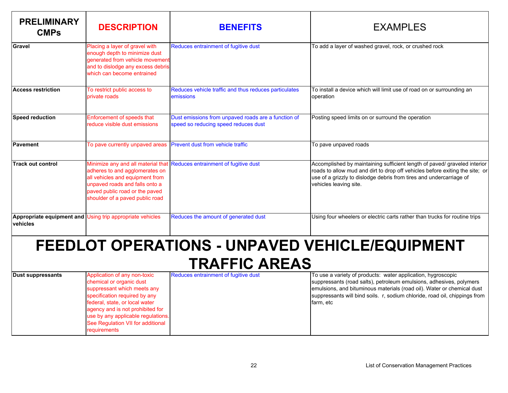| <b>PRELIMINARY</b><br><b>CMPs</b>                                      | <b>DESCRIPTION</b>                                                                                                                                                                                                                                                                        | <b>BENEFITS</b>                                                                             | <b>EXAMPLES</b>                                                                                                                                                                                                                                                                                          |  |
|------------------------------------------------------------------------|-------------------------------------------------------------------------------------------------------------------------------------------------------------------------------------------------------------------------------------------------------------------------------------------|---------------------------------------------------------------------------------------------|----------------------------------------------------------------------------------------------------------------------------------------------------------------------------------------------------------------------------------------------------------------------------------------------------------|--|
| Gravel                                                                 | Placing a layer of gravel with<br>enough depth to minimize dust<br>generated from vehicle movement<br>and to dislodge any excess debris<br>which can become entrained                                                                                                                     | Reduces entrainment of fugitive dust                                                        | To add a layer of washed gravel, rock, or crushed rock                                                                                                                                                                                                                                                   |  |
| <b>Access restriction</b>                                              | To restrict public access to<br>private roads                                                                                                                                                                                                                                             | Reduces vehicle traffic and thus reduces particulates<br>emissions                          | To install a device which will limit use of road on or surrounding an<br>operation                                                                                                                                                                                                                       |  |
| <b>Speed reduction</b>                                                 | Enforcement of speeds that<br>reduce visible dust emissions                                                                                                                                                                                                                               | Dust emissions from unpaved roads are a function of<br>speed so reducing speed reduces dust | Posting speed limits on or surround the operation                                                                                                                                                                                                                                                        |  |
| <b>Pavement</b>                                                        | To pave currently unpaved areas                                                                                                                                                                                                                                                           | Prevent dust from vehicle traffic                                                           | To pave unpaved roads                                                                                                                                                                                                                                                                                    |  |
| <b>Track out control</b>                                               | Minimize any and all material that<br>adheres to and agglomerates on<br>all vehicles and equipment from<br>unpaved roads and falls onto a<br>paved public road or the paved<br>shoulder of a paved public road                                                                            | Reduces entrainment of fugitive dust                                                        | Accomplished by maintaining sufficient length of paved/ graveled interior<br>roads to allow mud and dirt to drop off vehicles before exiting the site; or<br>use of a grizzly to dislodge debris from tires and undercarriage of<br>vehicles leaving site.                                               |  |
| vehicles                                                               | Appropriate equipment and Using trip appropriate vehicles                                                                                                                                                                                                                                 | Reduces the amount of generated dust                                                        | Using four wheelers or electric carts rather than trucks for routine trips                                                                                                                                                                                                                               |  |
| FEEDLOT OPERATIONS - UNPAVED VEHICLE/EQUIPMENT<br><b>TRAFFIC AREAS</b> |                                                                                                                                                                                                                                                                                           |                                                                                             |                                                                                                                                                                                                                                                                                                          |  |
| <b>Dust suppressants</b>                                               | Application of any non-toxic<br>chemical or organic dust<br>suppressant which meets any<br>specification required by any<br>federal, state, or local water<br>agency and is not prohibited for<br>use by any applicable regulations.<br>See Regulation VII for additional<br>requirements | Reduces entrainment of fugitive dust                                                        | To use a variety of products: water application, hygroscopic<br>suppressants (road salts), petroleum emulsions, adhesives, polymers<br>emulsions, and bituminous materials (road oil). Water or chemical dust<br>suppressants will bind soils. r, sodium chloride, road oil, chippings from<br>farm, etc |  |